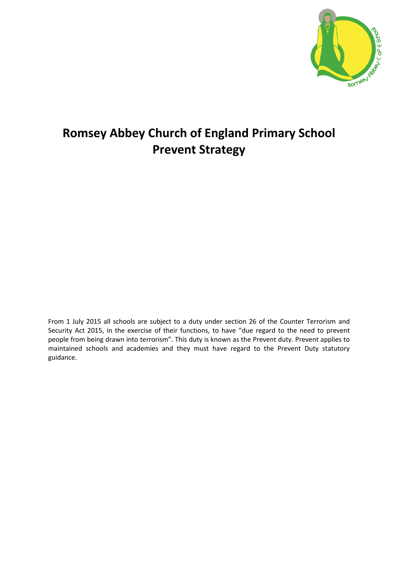

## **Romsey Abbey Church of England Primary School Prevent Strategy**

From 1 July 2015 all schools are subject to a duty under section 26 of the Counter Terrorism and Security Act 2015, in the exercise of their functions, to have "due regard to the need to prevent people from being drawn into terrorism". This duty is known as the Prevent duty. Prevent applies to maintained schools and academies and they must have regard to the Prevent Duty statutory guidance.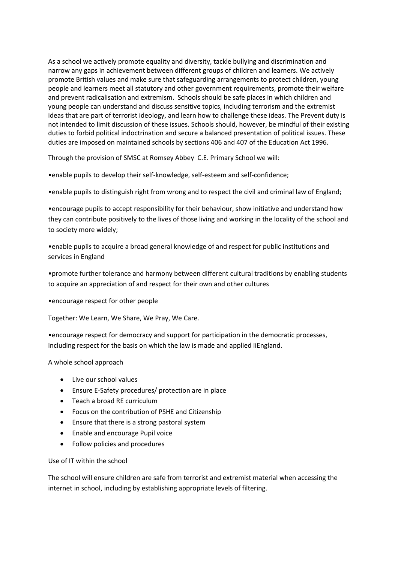As a school we actively promote equality and diversity, tackle bullying and discrimination and narrow any gaps in achievement between different groups of children and learners. We actively promote British values and make sure that safeguarding arrangements to protect children, young people and learners meet all statutory and other government requirements, promote their welfare and prevent radicalisation and extremism. Schools should be safe places in which children and young people can understand and discuss sensitive topics, including terrorism and the extremist ideas that are part of terrorist ideology, and learn how to challenge these ideas. The Prevent duty is not intended to limit discussion of these issues. Schools should, however, be mindful of their existing duties to forbid political indoctrination and secure a balanced presentation of political issues. These duties are imposed on maintained schools by sections 406 and 407 of the Education Act 1996.

Through the provision of SMSC at Romsey Abbey C.E. Primary School we will:

•enable pupils to develop their self-knowledge, self-esteem and self-confidence;

•enable pupils to distinguish right from wrong and to respect the civil and criminal law of England;

•encourage pupils to accept responsibility for their behaviour, show initiative and understand how they can contribute positively to the lives of those living and working in the locality of the school and to society more widely;

•enable pupils to acquire a broad general knowledge of and respect for public institutions and services in England

•promote further tolerance and harmony between different cultural traditions by enabling students to acquire an appreciation of and respect for their own and other cultures

•encourage respect for other people

Together: We Learn, We Share, We Pray, We Care.

•encourage respect for democracy and support for participation in the democratic processes, including respect for the basis on which the law is made and applied iiEngland.

A whole school approach

- Live our school values
- Ensure E-Safety procedures/ protection are in place
- Teach a broad RE curriculum
- Focus on the contribution of PSHE and Citizenship
- Ensure that there is a strong pastoral system
- Enable and encourage Pupil voice
- Follow policies and procedures

Use of IT within the school

The school will ensure children are safe from terrorist and extremist material when accessing the internet in school, including by establishing appropriate levels of filtering.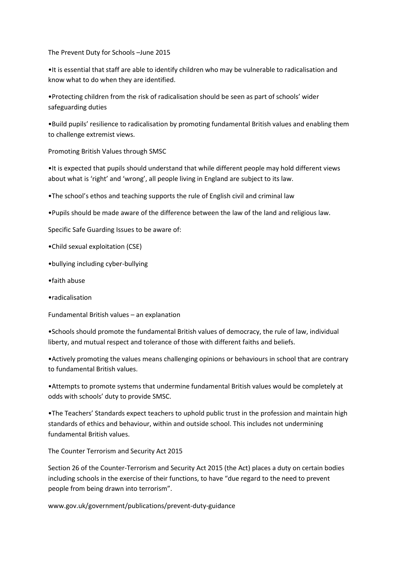The Prevent Duty for Schools –June 2015

•It is essential that staff are able to identify children who may be vulnerable to radicalisation and know what to do when they are identified.

•Protecting children from the risk of radicalisation should be seen as part of schools' wider safeguarding duties

•Build pupils' resilience to radicalisation by promoting fundamental British values and enabling them to challenge extremist views.

Promoting British Values through SMSC

•It is expected that pupils should understand that while different people may hold different views about what is 'right' and 'wrong', all people living in England are subject to its law.

•The school's ethos and teaching supports the rule of English civil and criminal law

•Pupils should be made aware of the difference between the law of the land and religious law.

Specific Safe Guarding Issues to be aware of:

•Child sexual exploitation (CSE)

- •bullying including cyber-bullying
- •faith abuse
- •radicalisation

Fundamental British values – an explanation

•Schools should promote the fundamental British values of democracy, the rule of law, individual liberty, and mutual respect and tolerance of those with different faiths and beliefs.

•Actively promoting the values means challenging opinions or behaviours in school that are contrary to fundamental British values.

•Attempts to promote systems that undermine fundamental British values would be completely at odds with schools' duty to provide SMSC.

•The Teachers' Standards expect teachers to uphold public trust in the profession and maintain high standards of ethics and behaviour, within and outside school. This includes not undermining fundamental British values.

The Counter Terrorism and Security Act 2015

Section 26 of the Counter-Terrorism and Security Act 2015 (the Act) places a duty on certain bodies including schools in the exercise of their functions, to have "due regard to the need to prevent people from being drawn into terrorism".

www.gov.uk/government/publications/prevent-duty-guidance